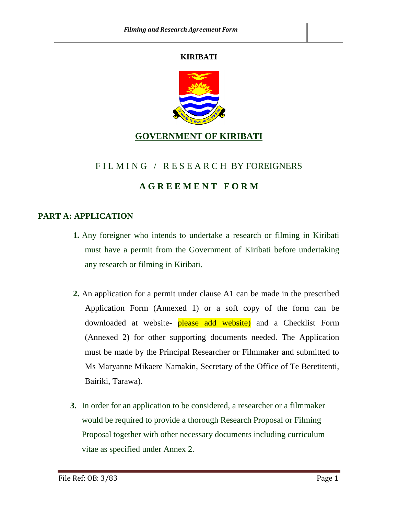#### **KIRIBATI**



## **GOVERNMENT OF KIRIBATI**

### FIL M I N G / R E S E A R C H BY FOREIGNERS

## **A G R E E M E N T F O R M**

#### **PART A: APPLICATION**

- **1.** Any foreigner who intends to undertake a research or filming in Kiribati must have a permit from the Government of Kiribati before undertaking any research or filming in Kiribati.
- **2.** An application for a permit under clause A1 can be made in the prescribed Application Form (Annexed 1) or a soft copy of the form can be downloaded at website- please add website) and a Checklist Form (Annexed 2) for other supporting documents needed. The Application must be made by the Principal Researcher or Filmmaker and submitted to Ms Maryanne Mikaere Namakin, Secretary of the Office of Te Beretitenti, Bairiki, Tarawa).
- **3.** In order for an application to be considered, a researcher or a filmmaker would be required to provide a thorough Research Proposal or Filming Proposal together with other necessary documents including curriculum vitae as specified under Annex 2.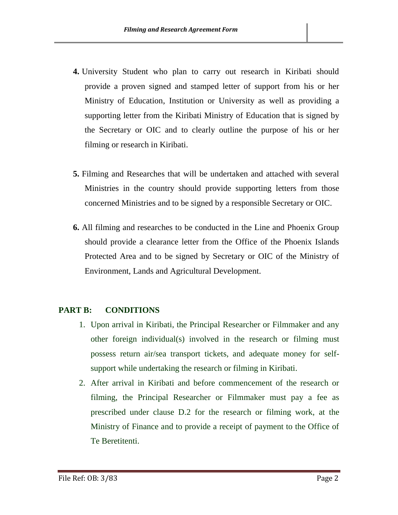- **4.** University Student who plan to carry out research in Kiribati should provide a proven signed and stamped letter of support from his or her Ministry of Education, Institution or University as well as providing a supporting letter from the Kiribati Ministry of Education that is signed by the Secretary or OIC and to clearly outline the purpose of his or her filming or research in Kiribati.
- **5.** Filming and Researches that will be undertaken and attached with several Ministries in the country should provide supporting letters from those concerned Ministries and to be signed by a responsible Secretary or OIC.
- **6.** All filming and researches to be conducted in the Line and Phoenix Group should provide a clearance letter from the Office of the Phoenix Islands Protected Area and to be signed by Secretary or OIC of the Ministry of Environment, Lands and Agricultural Development.

#### **PART B: CONDITIONS**

- 1. Upon arrival in Kiribati, the Principal Researcher or Filmmaker and any other foreign individual(s) involved in the research or filming must possess return air/sea transport tickets, and adequate money for selfsupport while undertaking the research or filming in Kiribati.
- 2. After arrival in Kiribati and before commencement of the research or filming, the Principal Researcher or Filmmaker must pay a fee as prescribed under clause D.2 for the research or filming work, at the Ministry of Finance and to provide a receipt of payment to the Office of Te Beretitenti.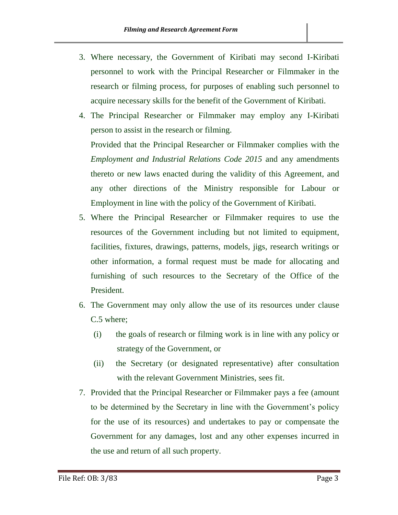- 3. Where necessary, the Government of Kiribati may second I-Kiribati personnel to work with the Principal Researcher or Filmmaker in the research or filming process, for purposes of enabling such personnel to acquire necessary skills for the benefit of the Government of Kiribati.
- 4. The Principal Researcher or Filmmaker may employ any I-Kiribati person to assist in the research or filming.

Provided that the Principal Researcher or Filmmaker complies with the *Employment and Industrial Relations Code 2015* and any amendments thereto or new laws enacted during the validity of this Agreement, and any other directions of the Ministry responsible for Labour or Employment in line with the policy of the Government of Kiribati.

- 5. Where the Principal Researcher or Filmmaker requires to use the resources of the Government including but not limited to equipment, facilities, fixtures, drawings, patterns, models, jigs, research writings or other information, a formal request must be made for allocating and furnishing of such resources to the Secretary of the Office of the President.
- 6. The Government may only allow the use of its resources under clause C.5 where;
	- (i) the goals of research or filming work is in line with any policy or strategy of the Government, or
	- (ii) the Secretary (or designated representative) after consultation with the relevant Government Ministries, sees fit.
- 7. Provided that the Principal Researcher or Filmmaker pays a fee (amount to be determined by the Secretary in line with the Government's policy for the use of its resources) and undertakes to pay or compensate the Government for any damages, lost and any other expenses incurred in the use and return of all such property.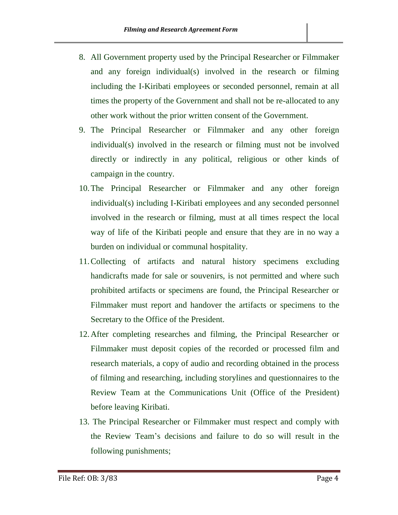- 8. All Government property used by the Principal Researcher or Filmmaker and any foreign individual(s) involved in the research or filming including the I-Kiribati employees or seconded personnel, remain at all times the property of the Government and shall not be re-allocated to any other work without the prior written consent of the Government.
- 9. The Principal Researcher or Filmmaker and any other foreign individual(s) involved in the research or filming must not be involved directly or indirectly in any political, religious or other kinds of campaign in the country.
- 10.The Principal Researcher or Filmmaker and any other foreign individual(s) including I-Kiribati employees and any seconded personnel involved in the research or filming, must at all times respect the local way of life of the Kiribati people and ensure that they are in no way a burden on individual or communal hospitality.
- 11.Collecting of artifacts and natural history specimens excluding handicrafts made for sale or souvenirs, is not permitted and where such prohibited artifacts or specimens are found, the Principal Researcher or Filmmaker must report and handover the artifacts or specimens to the Secretary to the Office of the President.
- 12.After completing researches and filming, the Principal Researcher or Filmmaker must deposit copies of the recorded or processed film and research materials, a copy of audio and recording obtained in the process of filming and researching, including storylines and questionnaires to the Review Team at the Communications Unit (Office of the President) before leaving Kiribati.
- 13. The Principal Researcher or Filmmaker must respect and comply with the Review Team's decisions and failure to do so will result in the following punishments;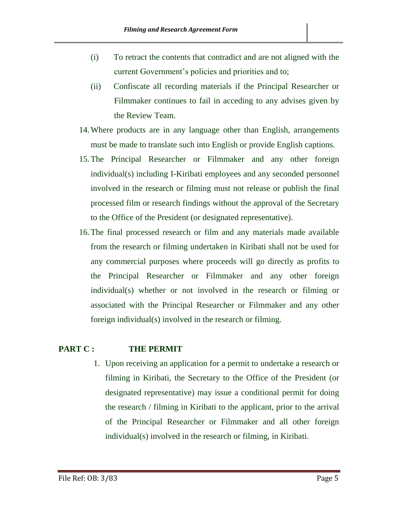- (i) To retract the contents that contradict and are not aligned with the current Government's policies and priorities and to;
- (ii) Confiscate all recording materials if the Principal Researcher or Filmmaker continues to fail in acceding to any advises given by the Review Team.
- 14.Where products are in any language other than English, arrangements must be made to translate such into English or provide English captions.
- 15.The Principal Researcher or Filmmaker and any other foreign individual(s) including I-Kiribati employees and any seconded personnel involved in the research or filming must not release or publish the final processed film or research findings without the approval of the Secretary to the Office of the President (or designated representative).
- 16.The final processed research or film and any materials made available from the research or filming undertaken in Kiribati shall not be used for any commercial purposes where proceeds will go directly as profits to the Principal Researcher or Filmmaker and any other foreign individual(s) whether or not involved in the research or filming or associated with the Principal Researcher or Filmmaker and any other foreign individual(s) involved in the research or filming.

#### **PART C : THE PERMIT**

1. Upon receiving an application for a permit to undertake a research or filming in Kiribati, the Secretary to the Office of the President (or designated representative) may issue a conditional permit for doing the research / filming in Kiribati to the applicant, prior to the arrival of the Principal Researcher or Filmmaker and all other foreign individual(s) involved in the research or filming, in Kiribati.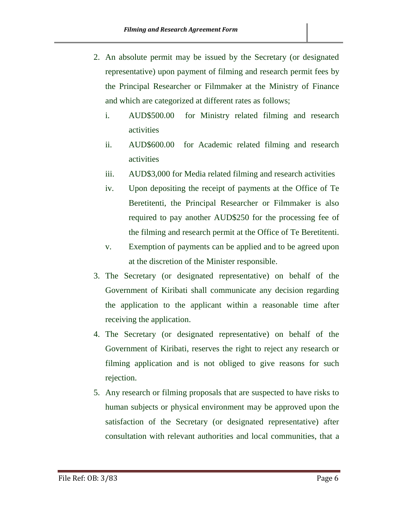- 2. An absolute permit may be issued by the Secretary (or designated representative) upon payment of filming and research permit fees by the Principal Researcher or Filmmaker at the Ministry of Finance and which are categorized at different rates as follows;
	- i. AUD\$500.00 for Ministry related filming and research activities
	- ii. AUD\$600.00 for Academic related filming and research activities
	- iii. AUD\$3,000 for Media related filming and research activities
	- iv. Upon depositing the receipt of payments at the Office of Te Beretitenti, the Principal Researcher or Filmmaker is also required to pay another AUD\$250 for the processing fee of the filming and research permit at the Office of Te Beretitenti.
	- v. Exemption of payments can be applied and to be agreed upon at the discretion of the Minister responsible.
- 3. The Secretary (or designated representative) on behalf of the Government of Kiribati shall communicate any decision regarding the application to the applicant within a reasonable time after receiving the application.
- 4. The Secretary (or designated representative) on behalf of the Government of Kiribati, reserves the right to reject any research or filming application and is not obliged to give reasons for such rejection.
- 5. Any research or filming proposals that are suspected to have risks to human subjects or physical environment may be approved upon the satisfaction of the Secretary (or designated representative) after consultation with relevant authorities and local communities, that a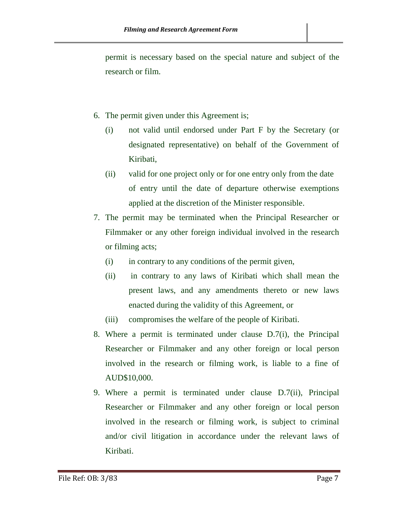permit is necessary based on the special nature and subject of the research or film.

- 6. The permit given under this Agreement is;
	- (i) not valid until endorsed under Part F by the Secretary (or designated representative) on behalf of the Government of Kiribati,
	- (ii) valid for one project only or for one entry only from the date of entry until the date of departure otherwise exemptions applied at the discretion of the Minister responsible.
- 7. The permit may be terminated when the Principal Researcher or Filmmaker or any other foreign individual involved in the research or filming acts;
	- (i) in contrary to any conditions of the permit given,
	- (ii) in contrary to any laws of Kiribati which shall mean the present laws, and any amendments thereto or new laws enacted during the validity of this Agreement, or
	- (iii) compromises the welfare of the people of Kiribati.
- 8. Where a permit is terminated under clause D.7(i), the Principal Researcher or Filmmaker and any other foreign or local person involved in the research or filming work, is liable to a fine of AUD\$10,000.
- 9. Where a permit is terminated under clause D.7(ii), Principal Researcher or Filmmaker and any other foreign or local person involved in the research or filming work, is subject to criminal and/or civil litigation in accordance under the relevant laws of Kiribati.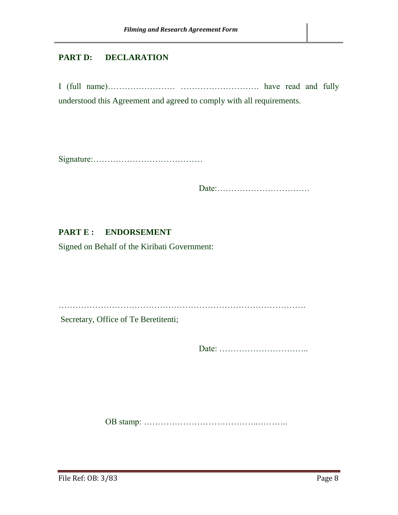#### **PART D: DECLARATION**

I (full name)…………………… ………………………. have read and fully understood this Agreement and agreed to comply with all requirements.

Signature:…………………………………

Date:……………………………

#### PART E : ENDORSEMENT

Signed on Behalf of the Kiribati Government:

…………………………………………………………………………….

Secretary, Office of Te Beretitenti;

Date: …………………………..

OB stamp: …………………………………..………..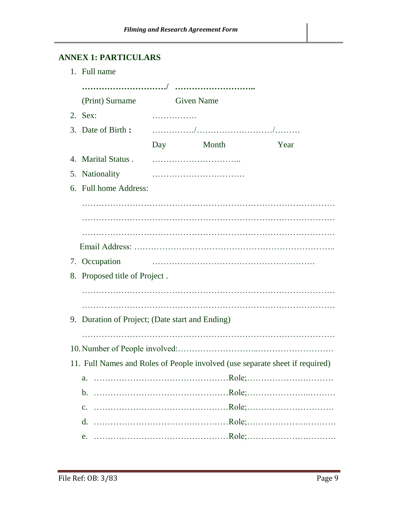## **ANNEX 1: PARTICULARS**

| 1. Full name                                    |                   |   |                                                                              |  |  |  |  |  |
|-------------------------------------------------|-------------------|---|------------------------------------------------------------------------------|--|--|--|--|--|
|                                                 |                   |   |                                                                              |  |  |  |  |  |
| (Print) Surname                                 | <b>Given Name</b> |   |                                                                              |  |  |  |  |  |
| $2.$ Sex:                                       |                   |   |                                                                              |  |  |  |  |  |
| 3. Date of Birth:                               |                   |   |                                                                              |  |  |  |  |  |
|                                                 | Day Month         |   | Year                                                                         |  |  |  |  |  |
| 4. Marital Status.                              |                   |   |                                                                              |  |  |  |  |  |
| 5. Nationality                                  |                   |   |                                                                              |  |  |  |  |  |
| 6. Full home Address:                           |                   |   |                                                                              |  |  |  |  |  |
|                                                 |                   |   |                                                                              |  |  |  |  |  |
|                                                 |                   |   |                                                                              |  |  |  |  |  |
|                                                 |                   |   |                                                                              |  |  |  |  |  |
|                                                 |                   |   |                                                                              |  |  |  |  |  |
| 7. Occupation                                   |                   |   |                                                                              |  |  |  |  |  |
| 8. Proposed title of Project.                   |                   |   |                                                                              |  |  |  |  |  |
|                                                 |                   |   |                                                                              |  |  |  |  |  |
|                                                 |                   | . |                                                                              |  |  |  |  |  |
| 9. Duration of Project; (Date start and Ending) |                   |   |                                                                              |  |  |  |  |  |
|                                                 |                   |   |                                                                              |  |  |  |  |  |
|                                                 |                   |   |                                                                              |  |  |  |  |  |
|                                                 |                   |   | 11. Full Names and Roles of People involved (use separate sheet if required) |  |  |  |  |  |
| a.                                              |                   |   |                                                                              |  |  |  |  |  |
|                                                 |                   |   |                                                                              |  |  |  |  |  |
|                                                 |                   |   |                                                                              |  |  |  |  |  |
|                                                 |                   |   |                                                                              |  |  |  |  |  |
|                                                 |                   |   |                                                                              |  |  |  |  |  |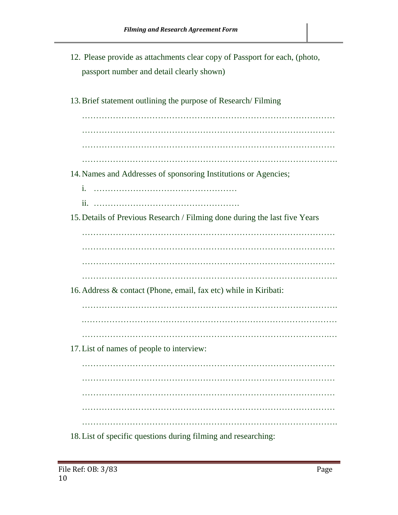- 12. Please provide as attachments clear copy of Passport for each, (photo, passport number and detail clearly shown)
- 13.Brief statement outlining the purpose of Research/ Filming

……………………………………………………………………………… ……………………………………………………………………………… ……………………………………………………………………………….

- 14.Names and Addresses of sponsoring Institutions or Agencies;
	- i. ……………………………………………
	- ii. …………………………………………….
- 15.Details of Previous Research / Filming done during the last five Years

……………………………………………………………………………… ……………………………………………………………………………… ………………………………………………………………………………

……………………………………………………………………………….

16.Address & contact (Phone, email, fax etc) while in Kiribati:

- 
- 
- …………………………………………………………………………….…
- 17.List of names of people to interview:

……………………………………………………………………………… ………………………………………………………………………………

18.List of specific questions during filming and researching: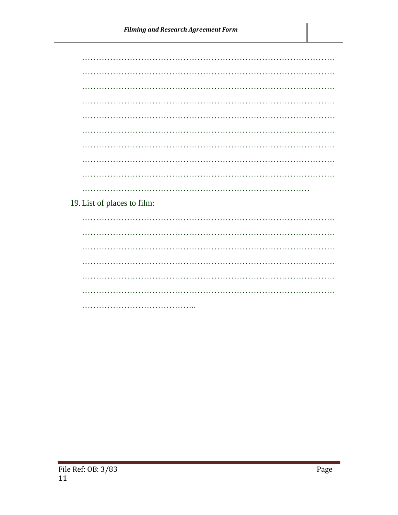19. List of places to film: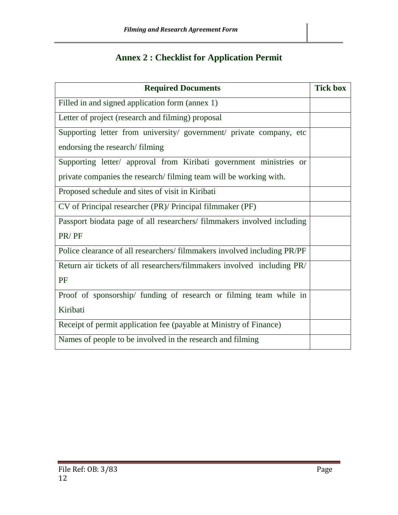## **Annex 2 : Checklist for Application Permit**

| <b>Required Documents</b>                                               | <b>Tick box</b> |  |  |  |
|-------------------------------------------------------------------------|-----------------|--|--|--|
| Filled in and signed application form (annex 1)                         |                 |  |  |  |
| Letter of project (research and filming) proposal                       |                 |  |  |  |
| Supporting letter from university/ government/ private company, etc     |                 |  |  |  |
| endorsing the research/filming                                          |                 |  |  |  |
| Supporting letter/ approval from Kiribati government ministries or      |                 |  |  |  |
| private companies the research/filming team will be working with.       |                 |  |  |  |
| Proposed schedule and sites of visit in Kiribati                        |                 |  |  |  |
| CV of Principal researcher (PR)/ Principal filmmaker (PF)               |                 |  |  |  |
| Passport biodata page of all researchers/ filmmakers involved including |                 |  |  |  |
| PR/PF                                                                   |                 |  |  |  |
| Police clearance of all researchers/filmmakers involved including PR/PF |                 |  |  |  |
| Return air tickets of all researchers/filmmakers involved including PR/ |                 |  |  |  |
| PF                                                                      |                 |  |  |  |
| Proof of sponsorship/ funding of research or filming team while in      |                 |  |  |  |
| Kiribati                                                                |                 |  |  |  |
| Receipt of permit application fee (payable at Ministry of Finance)      |                 |  |  |  |
| Names of people to be involved in the research and filming              |                 |  |  |  |